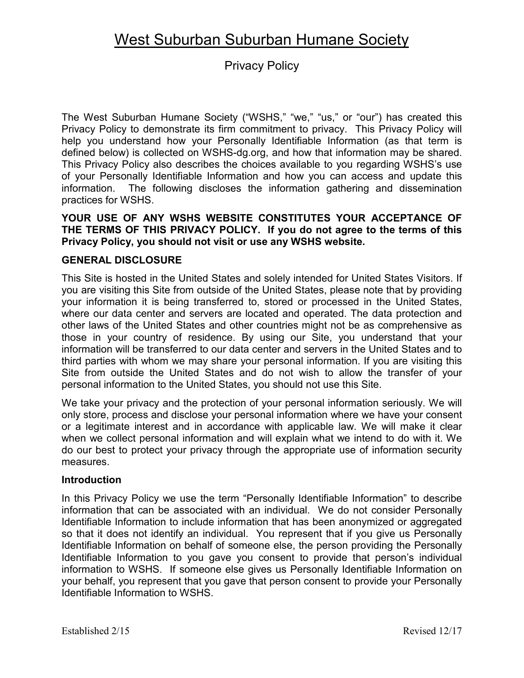# West Suburban Suburban Humane Society

# Privacy Policy

The West Suburban Humane Society ("WSHS," "we," "us," or "our") has created this Privacy Policy to demonstrate its firm commitment to privacy. This Privacy Policy will help you understand how your Personally Identifiable Information (as that term is defined below) is collected on WSHS-dg.org, and how that information may be shared. This Privacy Policy also describes the choices available to you regarding WSHS's use of your Personally Identifiable Information and how you can access and update this information. The following discloses the information gathering and dissemination practices for WSHS.

# **YOUR USE OF ANY WSHS WEBSITE CONSTITUTES YOUR ACCEPTANCE OF THE TERMS OF THIS PRIVACY POLICY. If you do not agree to the terms of this Privacy Policy, you should not visit or use any WSHS website.**

# **GENERAL DISCLOSURE**

This Site is hosted in the United States and solely intended for United States Visitors. If you are visiting this Site from outside of the United States, please note that by providing your information it is being transferred to, stored or processed in the United States, where our data center and servers are located and operated. The data protection and other laws of the United States and other countries might not be as comprehensive as those in your country of residence. By using our Site, you understand that your information will be transferred to our data center and servers in the United States and to third parties with whom we may share your personal information. If you are visiting this Site from outside the United States and do not wish to allow the transfer of your personal information to the United States, you should not use this Site.

We take your privacy and the protection of your personal information seriously. We will only store, process and disclose your personal information where we have your consent or a legitimate interest and in accordance with applicable law. We will make it clear when we collect personal information and will explain what we intend to do with it. We do our best to protect your privacy through the appropriate use of information security measures.

#### **Introduction**

In this Privacy Policy we use the term "Personally Identifiable Information" to describe information that can be associated with an individual. We do not consider Personally Identifiable Information to include information that has been anonymized or aggregated so that it does not identify an individual. You represent that if you give us Personally Identifiable Information on behalf of someone else, the person providing the Personally Identifiable Information to you gave you consent to provide that person's individual information to WSHS. If someone else gives us Personally Identifiable Information on your behalf, you represent that you gave that person consent to provide your Personally Identifiable Information to WSHS.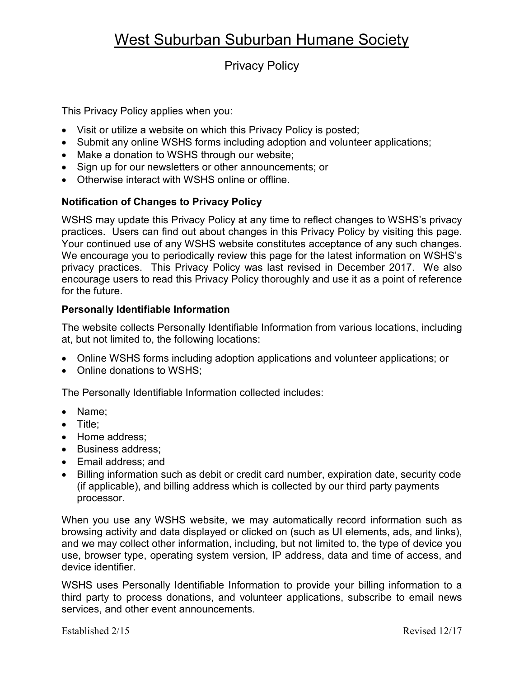# West Suburban Suburban Humane Society

# Privacy Policy

This Privacy Policy applies when you:

- Visit or utilize a website on which this Privacy Policy is posted;
- Submit any online WSHS forms including adoption and volunteer applications;
- Make a donation to WSHS through our website;
- Sign up for our newsletters or other announcements; or
- Otherwise interact with WSHS online or offline.

### **Notification of Changes to Privacy Policy**

WSHS may update this Privacy Policy at any time to reflect changes to WSHS's privacy practices. Users can find out about changes in this Privacy Policy by visiting this page. Your continued use of any WSHS website constitutes acceptance of any such changes. We encourage you to periodically review this page for the latest information on WSHS's privacy practices. This Privacy Policy was last revised in December 2017. We also encourage users to read this Privacy Policy thoroughly and use it as a point of reference for the future.

### **Personally Identifiable Information**

The website collects Personally Identifiable Information from various locations, including at, but not limited to, the following locations:

- Online WSHS forms including adoption applications and volunteer applications; or
- Online donations to WSHS;

The Personally Identifiable Information collected includes:

- Name;
- Title;
- Home address:
- Business address;
- Email address; and
- Billing information such as debit or credit card number, expiration date, security code (if applicable), and billing address which is collected by our third party payments processor.

When you use any WSHS website, we may automatically record information such as browsing activity and data displayed or clicked on (such as UI elements, ads, and links), and we may collect other information, including, but not limited to, the type of device you use, browser type, operating system version, IP address, data and time of access, and device identifier.

WSHS uses Personally Identifiable Information to provide your billing information to a third party to process donations, and volunteer applications, subscribe to email news services, and other event announcements.

Established 2/15 Revised 12/17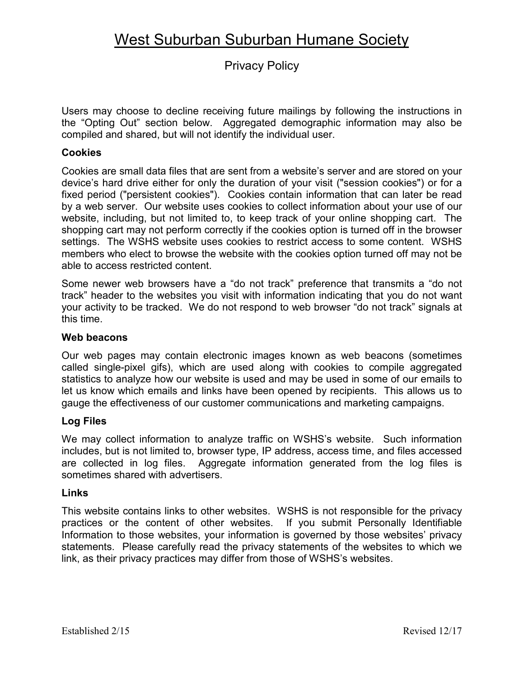# Privacy Policy

Users may choose to decline receiving future mailings by following the instructions in the "Opting Out" section below. Aggregated demographic information may also be compiled and shared, but will not identify the individual user.

# **Cookies**

Cookies are small data files that are sent from a website's server and are stored on your device's hard drive either for only the duration of your visit ("session cookies") or for a fixed period ("persistent cookies"). Cookies contain information that can later be read by a web server. Our website uses cookies to collect information about your use of our website, including, but not limited to, to keep track of your online shopping cart. The shopping cart may not perform correctly if the cookies option is turned off in the browser settings. The WSHS website uses cookies to restrict access to some content. WSHS members who elect to browse the website with the cookies option turned off may not be able to access restricted content.

Some newer web browsers have a "do not track" preference that transmits a "do not track" header to the websites you visit with information indicating that you do not want your activity to be tracked. We do not respond to web browser "do not track" signals at this time.

### **Web beacons**

Our web pages may contain electronic images known as web beacons (sometimes called single-pixel gifs), which are used along with cookies to compile aggregated statistics to analyze how our website is used and may be used in some of our emails to let us know which emails and links have been opened by recipients. This allows us to gauge the effectiveness of our customer communications and marketing campaigns.

# **Log Files**

We may collect information to analyze traffic on WSHS's website. Such information includes, but is not limited to, browser type, IP address, access time, and files accessed are collected in log files. Aggregate information generated from the log files is sometimes shared with advertisers.

#### **Links**

This website contains links to other websites. WSHS is not responsible for the privacy practices or the content of other websites. If you submit Personally Identifiable Information to those websites, your information is governed by those websites' privacy statements. Please carefully read the privacy statements of the websites to which we link, as their privacy practices may differ from those of WSHS's websites.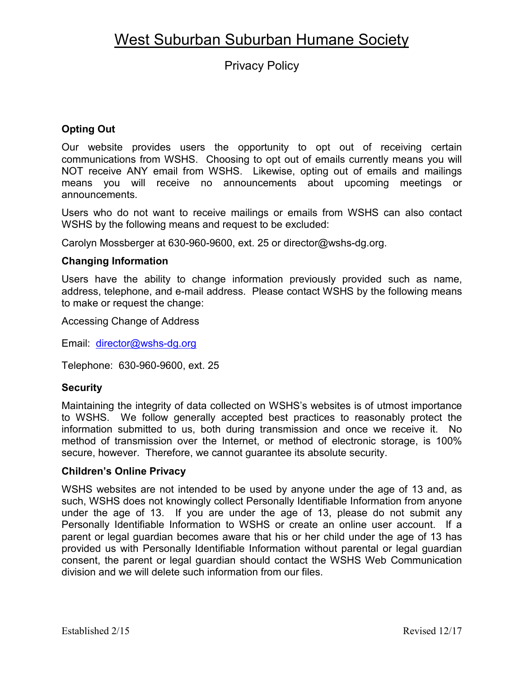Privacy Policy

# **Opting Out**

Our website provides users the opportunity to opt out of receiving certain communications from WSHS. Choosing to opt out of emails currently means you will NOT receive ANY email from WSHS. Likewise, opting out of emails and mailings means you will receive no announcements about upcoming meetings or announcements.

Users who do not want to receive mailings or emails from WSHS can also contact WSHS by the following means and request to be excluded:

Carolyn Mossberger at 630-960-9600, ext. 25 or director@wshs-dg.org.

# **Changing Information**

Users have the ability to change information previously provided such as name, address, telephone, and e-mail address. Please contact WSHS by the following means to make or request the change:

Accessing Change of Address

Email: [director@wshs-dg.org](mailto:director@wshs-dg.org)

Telephone: 630-960-9600, ext. 25

# **Security**

Maintaining the integrity of data collected on WSHS's websites is of utmost importance to WSHS. We follow generally accepted best practices to reasonably protect the information submitted to us, both during transmission and once we receive it. No method of transmission over the Internet, or method of electronic storage, is 100% secure, however. Therefore, we cannot guarantee its absolute security.

# **Children's Online Privacy**

WSHS websites are not intended to be used by anyone under the age of 13 and, as such, WSHS does not knowingly collect Personally Identifiable Information from anyone under the age of 13. If you are under the age of 13, please do not submit any Personally Identifiable Information to WSHS or create an online user account. If a parent or legal guardian becomes aware that his or her child under the age of 13 has provided us with Personally Identifiable Information without parental or legal guardian consent, the parent or legal guardian should contact the WSHS Web Communication division and we will delete such information from our files.